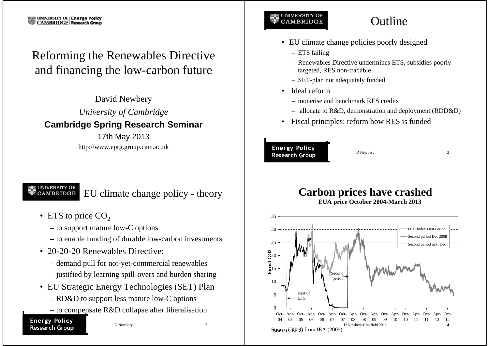# Reforming the Renewables Directive and financing the low-carbon future

David Newbery *University of Cambridge* **Cambridge Spring Research Seminar** 17th May 2013 http://www.eprg.group.cam.ac.uk

### **UNIVERSITY OF** CAMBRIDGE

# **Outline**

- EU climate change policies poorly designed
	- ETS failing
	- Renewables Directive undermines ETS, subsidies poorly targeted, RES non-tradable
	- SET-plan not adequately funded
- Ideal reform
	- monetise and benchmark RES credits
	- allocate to R&D, demonstration and deployment (RDD&D)
- Fiscal principles: reform how RES is funded

### **Energy Policy Research Group**

D Newbery 2

UNIVERSITY OF<br>CAMBRIDGE EU climate change policy - theory

- ETS to price  $CO<sub>2</sub>$ 
	- to support mature low-C options
	- to enable funding of durable low-carbon investments
- 20-20-20 Renewables Directive:
	- demand pull for not-yet-commercial renewables
	- justified by learning spill-overs and burden sharing
- EU Strategic Energy Technologies (SET) Plan
	- RD&D to support less mature low-C options
	- to compensate R&D collapse after liberalisation

### **Energy Policy Research Group**

D Newbery 3

### **Carbon prices have crashed EUA price October 2004-March 2013**

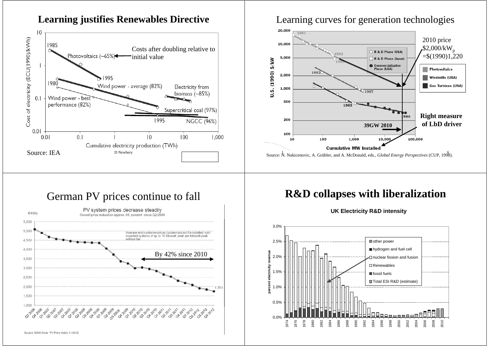

2012-2012

0.0%

1974 1976 1978 1980 1982 1984 1986 1988 1990 1992 1994 1996 1998 2000 2002 2004 2006 2008 2010

### **Learning justifies Renewables Directive**

Source: BSW-Solar, PV Price Index 11/2012

03-2007-2007-2007

1,000 O2-2006 2006 2006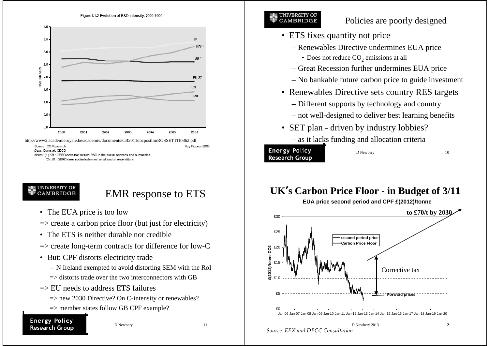

### **UNIVERSITY OF CAMBRIDGE**

### Policies are poorly designed

- ETS fixes quantity not price
	- Renewables Directive undermines EUA price
		- Does not reduce  $CO_2$  emissions at all
	- Great Recession further undermines EUA price
	- No bankable future carbon price to guide investment
- Renewables Directive sets country RES targets
	- Different supports by technology and country
	- not well-designed to deliver best learning benefits
- SET plan driven by industry lobbies? – as it lacks funding and allocation criteria

**Energy Policy Research Group**

D Newbery 10

#### UNIVERSITY C CAMBRIDGE

# EMR response to ETS

- The EUA price is too low
- $\Rightarrow$  create a carbon price floor (but just for electricity)
- The ETS is neither durable nor credible
- $\Rightarrow$  create long-term contracts for difference for low-C
- But: CPF distorts electricity trade
	- N Ireland exempted to avoid distorting SEM with the RoI
	- $\Rightarrow$  distorts trade over the two interconnectors with GB
- $\Rightarrow$  EU needs to address ETS failures
	- $\Rightarrow$  new 2030 Directive? On C-intensity or renewables?
	- $\Rightarrow$  member states follow GB CPF example?

### **Energy Policy Research Group**

D Newbery 11

# **UK<sup>&#</sup>x27;s Carbon Price Floor - in Budget of 3/11**

**EUA price second period and CPF £(2012)/tonne**

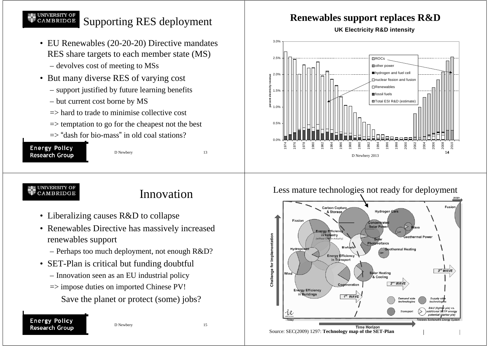#### **UNIVERSITY OF** CAMBRIDGE Supporting RES deployment

- EU Renewables (20-20-20) Directive mandates RES share targets to each member state (MS)
	- devolves cost of meeting to MSs
- But many diverse RES of varying cost
	- support justified by future learning benefits
	- but current cost borne by MS
	- $\Rightarrow$  hard to trade to minimise collective cost
	- $\Rightarrow$  temptation to go for the cheapest not the best
	- $\Rightarrow$  "dash for bio-mass" in old coal stations?



D Newbery 13

#### UNIVERSITY OF **CAMBRIDGE**

# Innovation

- Liberalizing causes R&D to collapse
- Renewables Directive has massively increased renewables support
	- Perhaps too much deployment, not enough R&D?
- SET-Plan is critical but funding doubtful
	- Innovation seen as an EU industrial policy
	- => impose duties on imported Chinese PV!
		- Save the planet or protect (some) jobs?

### **Energy Policy Research Group**

## **Renewables support replaces R&D**

**UK Electricity R&D intensity**



### Less mature technologies not ready for deployment

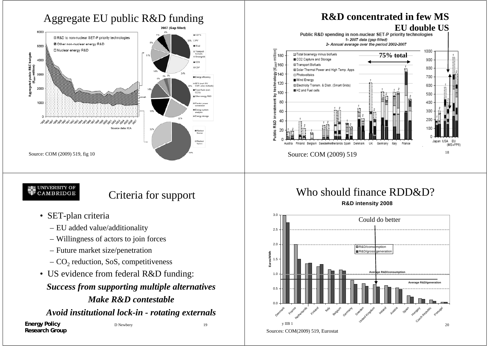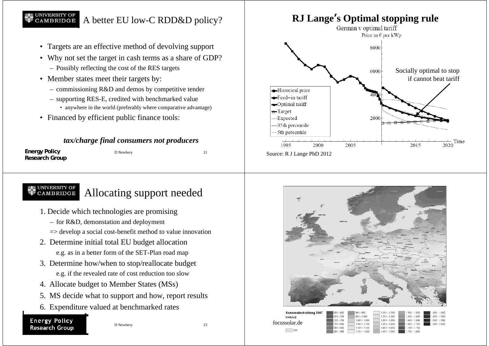#### UNIVERSITY OF<br>CAMBRIDGE A better EU low-C RDD&D policy?

- Targets are an effective method of devolving support
- Why not set the target in cash terms as a share of GDP?
	- Possibly reflecting the cost of the RES targets
- Member states meet their targets by:
	- commissioning R&D and demos by competitive tender
	- supporting RES-E, credited with benchmarked value
		- anywhere in the world (preferably where comparative advantage)
- Financed by efficient public finance tools:

### *tax/charge final consumers not producers*

| <b>Energy Policy</b> | D Newbery |  |
|----------------------|-----------|--|
| Research Group       |           |  |

### UNIVERSITY OF<br>CAMBRIDGE Allocating support needed

- 1. Decide which technologies are promising
	- for R&D, demonstation and deployment
	- $\Rightarrow$  develop a social cost-benefit method to value innovation
- 2. Determine initial total EU budget allocation e.g. as in a better form of the SET-Plan road map
- 3. Determine how/when to stop/reallocate budget e.g. if the revealed rate of cost reduction too slow
- 4. Allocate budget to Member States (MSs)
- 5. MS decide what to support and how, report results
- 6. Expenditure valued at benchmarked rates

### **Energy Policy Research Group**

D Newbery 23





kWh/m2 focussolar.de $\Box$  see

| 601 - 650   | $901 - 950$     | $1.201 - 1.250$ | 1.501 - 1.550   | 1.801 - 1.85 |
|-------------|-----------------|-----------------|-----------------|--------------|
| 651 - 700   | $951 - 1.000$   | $1.251 - 1.300$ | $1.551 - 1.600$ | 1.851 - 1.90 |
| 701 - 750   | $1.001 - 1.050$ | $1.301 - 1.350$ | $1.601 - 1.650$ | 1.901 - 1.95 |
| $751 - 800$ | $1.051 - 1.100$ | $1.351 - 1.400$ | 1.651 - 1.700   | 1.951 - 2.00 |
| 801 - 850   | 1.101 - 1.150   | 1,401 - 1,450   | 1.701 - 1.750   |              |
| 851 - 900   | $1.151 - 1.200$ | 1.451 - 1.500   | $1.751 - 1.800$ |              |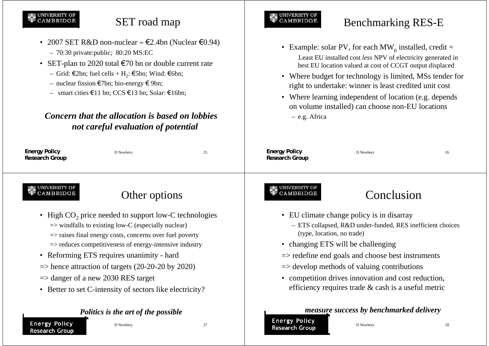#### **UNIVERSITY OF** CAMBRIDGE

**Energy Policy Research Group**

# SET road map

- 2007 SET R&D non-nuclear <sup>∼</sup> €2.4bn (Nuclear €0.94) – 70:30 private:public; 80:20 MS:EC
- SET-plan to 2020 total  $\epsilon$ 70 bn or double current rate
	- Grid: €2bn; fuel cells + H<sub>2</sub>: €5bn; Wind: €6bn;
	- nuclear fission €7bn; bio-energy € 9bn;
	- smart cities €11 bn; CCS €13 bn; Solar: €16bn;

### *Concern that the allocation is based on lobbiesnot careful evaluation of potential*

D Newbery 27

#### **Energy Policy Energy Policy** D Newbery 25 D Newbery 26 **Research Group Research Group** UNIVERSITY OI **UNIVERSITY OF** CAMBRIDGE Other options **CAMBRIDGE** Conclusion• High  $CO<sub>2</sub>$  price needed to support low-C technologies • EU climate change policy is in disarray  $\Rightarrow$  windfalls to existing low-C (especially nuclear) – ETS collapsed, R&D under-funded, RES inefficient choices (type, location, no trade)  $\Rightarrow$  raises final energy costs, concerns over fuel poverty • changing ETS will be challenging => reduces competitiveness of energy-intensive industry  $\Rightarrow$  redefine end goals and choose best instruments • Reforming ETS requires unanimity - hard  $\Rightarrow$  hence attraction of targets (20-20-20 by 2020)  $\Rightarrow$  develop methods of valuing contributions  $\Rightarrow$  danger of a new 2030 RES target • competition drives innovation and cost reduction, efficiency requires trade & cash is a useful metric • Better to set C-intensity of sectors like electricity? *measure success by benchmarked delivery Politics is the art of the possible*

**Energy Policy Research Group**

– e.g. Africa

**UNIVERSITY OF** 

**CAMBRIDGE** 

D Newbery 28

Benchmarking RES-E

• Example: solar PV, for each  $MW_p$  installed, credit =

 Least EU installed cost *less* NPV of electricity generated in best EU location valued at cost of CCGT output displaced

• Where budget for technology is limited, MSs tender for right to undertake: winner is least credited unit cost

• Where learning independent of location (e.g. depends on volume installed) can choose non-EU locations